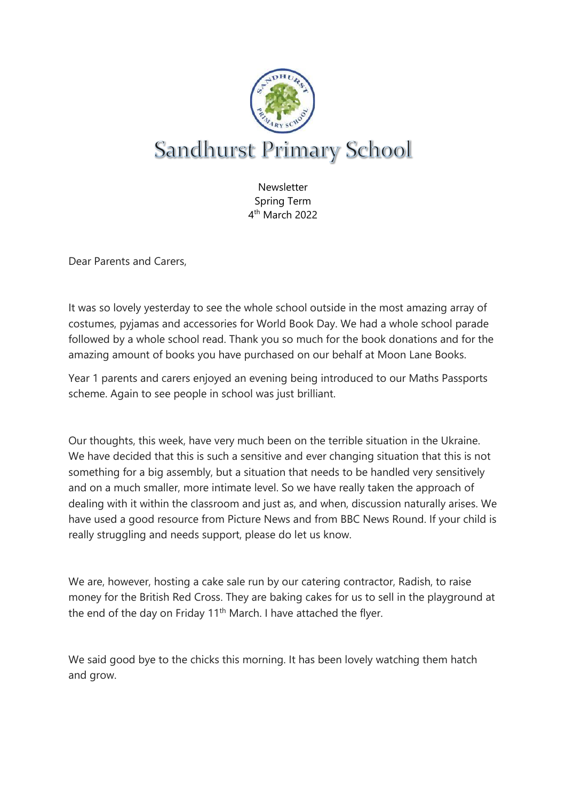

**Newsletter** Spring Term 4 th March 2022

Dear Parents and Carers,

It was so lovely yesterday to see the whole school outside in the most amazing array of costumes, pyjamas and accessories for World Book Day. We had a whole school parade followed by a whole school read. Thank you so much for the book donations and for the amazing amount of books you have purchased on our behalf at Moon Lane Books.

Year 1 parents and carers enjoyed an evening being introduced to our Maths Passports scheme. Again to see people in school was just brilliant.

Our thoughts, this week, have very much been on the terrible situation in the Ukraine. We have decided that this is such a sensitive and ever changing situation that this is not something for a big assembly, but a situation that needs to be handled very sensitively and on a much smaller, more intimate level. So we have really taken the approach of dealing with it within the classroom and just as, and when, discussion naturally arises. We have used a good resource from Picture News and from BBC News Round. If your child is really struggling and needs support, please do let us know.

We are, however, hosting a cake sale run by our catering contractor, Radish, to raise money for the British Red Cross. They are baking cakes for us to sell in the playground at the end of the day on Friday 11<sup>th</sup> March. I have attached the flyer.

We said good bye to the chicks this morning. It has been lovely watching them hatch and grow.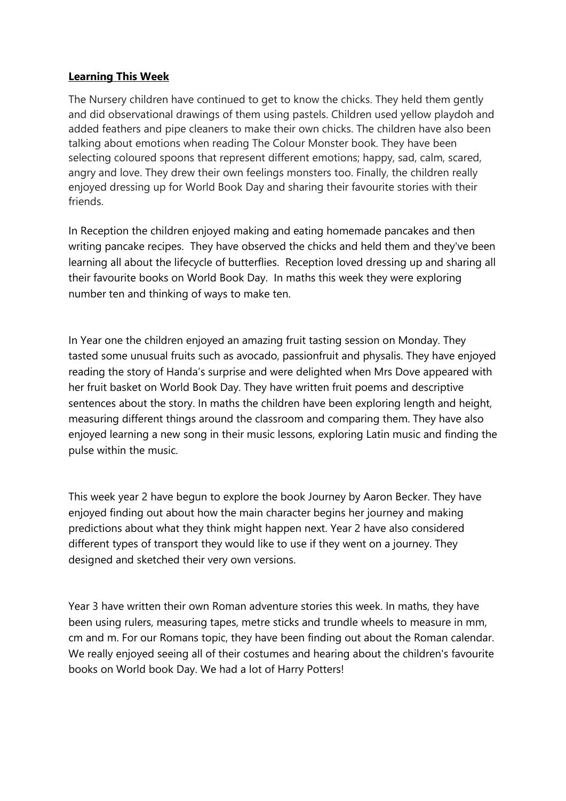## **Learning This Week**

The Nursery children have continued to get to know the chicks. They held them gently and did observational drawings of them using pastels. Children used yellow playdoh and added feathers and pipe cleaners to make their own chicks. The children have also been talking about emotions when reading The Colour Monster book. They have been selecting coloured spoons that represent different emotions; happy, sad, calm, scared, angry and love. They drew their own feelings monsters too. Finally, the children really enjoyed dressing up for World Book Day and sharing their favourite stories with their friends.

In Reception the children enjoyed making and eating homemade pancakes and then writing pancake recipes. They have observed the chicks and held them and they've been learning all about the lifecycle of butterflies. Reception loved dressing up and sharing all their favourite books on World Book Day. In maths this week they were exploring number ten and thinking of ways to make ten.

In Year one the children enjoyed an amazing fruit tasting session on Monday. They tasted some unusual fruits such as avocado, passionfruit and physalis. They have enjoyed reading the story of Handa's surprise and were delighted when Mrs Dove appeared with her fruit basket on World Book Day. They have written fruit poems and descriptive sentences about the story. In maths the children have been exploring length and height, measuring different things around the classroom and comparing them. They have also enjoyed learning a new song in their music lessons, exploring Latin music and finding the pulse within the music.

This week year 2 have begun to explore the book Journey by Aaron Becker. They have enjoyed finding out about how the main character begins her journey and making predictions about what they think might happen next. Year 2 have also considered different types of transport they would like to use if they went on a journey. They designed and sketched their very own versions.

Year 3 have written their own Roman adventure stories this week. In maths, they have been using rulers, measuring tapes, metre sticks and trundle wheels to measure in mm, cm and m. For our Romans topic, they have been finding out about the Roman calendar. We really enjoyed seeing all of their costumes and hearing about the children's favourite books on World book Day. We had a lot of Harry Potters!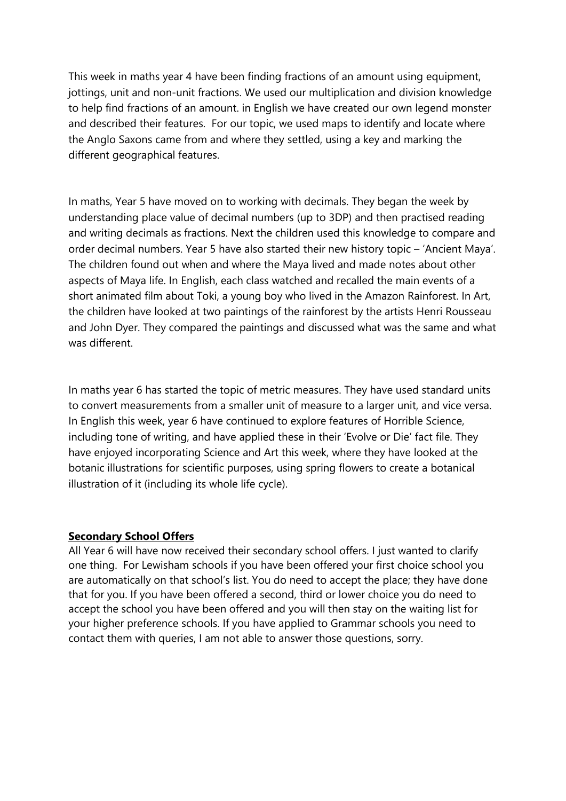This week in maths year 4 have been finding fractions of an amount using equipment, jottings, unit and non-unit fractions. We used our multiplication and division knowledge to help find fractions of an amount. in English we have created our own legend monster and described their features. For our topic, we used maps to identify and locate where the Anglo Saxons came from and where they settled, using a key and marking the different geographical features.

In maths, Year 5 have moved on to working with decimals. They began the week by understanding place value of decimal numbers (up to 3DP) and then practised reading and writing decimals as fractions. Next the children used this knowledge to compare and order decimal numbers. Year 5 have also started their new history topic – 'Ancient Maya'. The children found out when and where the Maya lived and made notes about other aspects of Maya life. In English, each class watched and recalled the main events of a short animated film about Toki, a young boy who lived in the Amazon Rainforest. In Art, the children have looked at two paintings of the rainforest by the artists Henri Rousseau and John Dyer. They compared the paintings and discussed what was the same and what was different

In maths year 6 has started the topic of metric measures. They have used standard units to convert measurements from a smaller unit of measure to a larger unit, and vice versa. In English this week, year 6 have continued to explore features of Horrible Science, including tone of writing, and have applied these in their 'Evolve or Die' fact file. They have enjoyed incorporating Science and Art this week, where they have looked at the botanic illustrations for scientific purposes, using spring flowers to create a botanical illustration of it (including its whole life cycle).

## **Secondary School Offers**

All Year 6 will have now received their secondary school offers. I just wanted to clarify one thing. For Lewisham schools if you have been offered your first choice school you are automatically on that school's list. You do need to accept the place; they have done that for you. If you have been offered a second, third or lower choice you do need to accept the school you have been offered and you will then stay on the waiting list for your higher preference schools. If you have applied to Grammar schools you need to contact them with queries, I am not able to answer those questions, sorry.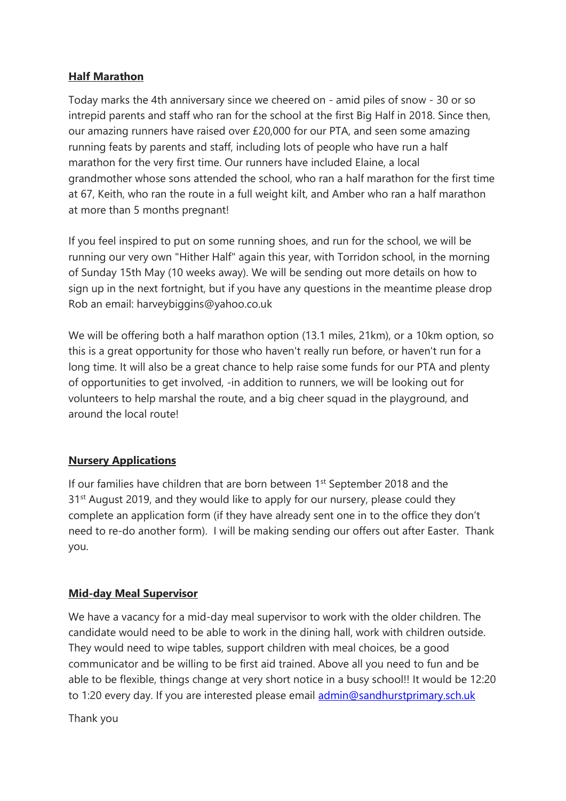# **Half Marathon**

Today marks the 4th anniversary since we cheered on - amid piles of snow - 30 or so intrepid parents and staff who ran for the school at the first Big Half in 2018. Since then, our amazing runners have raised over £20,000 for our PTA, and seen some amazing running feats by parents and staff, including lots of people who have run a half marathon for the very first time. Our runners have included Elaine, a local grandmother whose sons attended the school, who ran a half marathon for the first time at 67, Keith, who ran the route in a full weight kilt, and Amber who ran a half marathon at more than 5 months pregnant!

If you feel inspired to put on some running shoes, and run for the school, we will be running our very own "Hither Half" again this year, with Torridon school, in the morning of Sunday 15th May (10 weeks away). We will be sending out more details on how to sign up in the next fortnight, but if you have any questions in the meantime please drop Rob an email: harveybiggins@yahoo.co.uk

We will be offering both a half marathon option (13.1 miles, 21km), or a 10km option, so this is a great opportunity for those who haven't really run before, or haven't run for a long time. It will also be a great chance to help raise some funds for our PTA and plenty of opportunities to get involved, -in addition to runners, we will be looking out for volunteers to help marshal the route, and a big cheer squad in the playground, and around the local route!

# **Nursery Applications**

If our families have children that are born between 1<sup>st</sup> September 2018 and the 31<sup>st</sup> August 2019, and they would like to apply for our nursery, please could they complete an application form (if they have already sent one in to the office they don't need to re-do another form). I will be making sending our offers out after Easter. Thank you.

# **Mid-day Meal Supervisor**

We have a vacancy for a mid-day meal supervisor to work with the older children. The candidate would need to be able to work in the dining hall, work with children outside. They would need to wipe tables, support children with meal choices, be a good communicator and be willing to be first aid trained. Above all you need to fun and be able to be flexible, things change at very short notice in a busy school!! It would be 12:20 to 1:20 every day. If you are interested please email [admin@sandhurstprimary.sch.uk](mailto:admin@sandhurstprimary.sch.uk)

Thank you